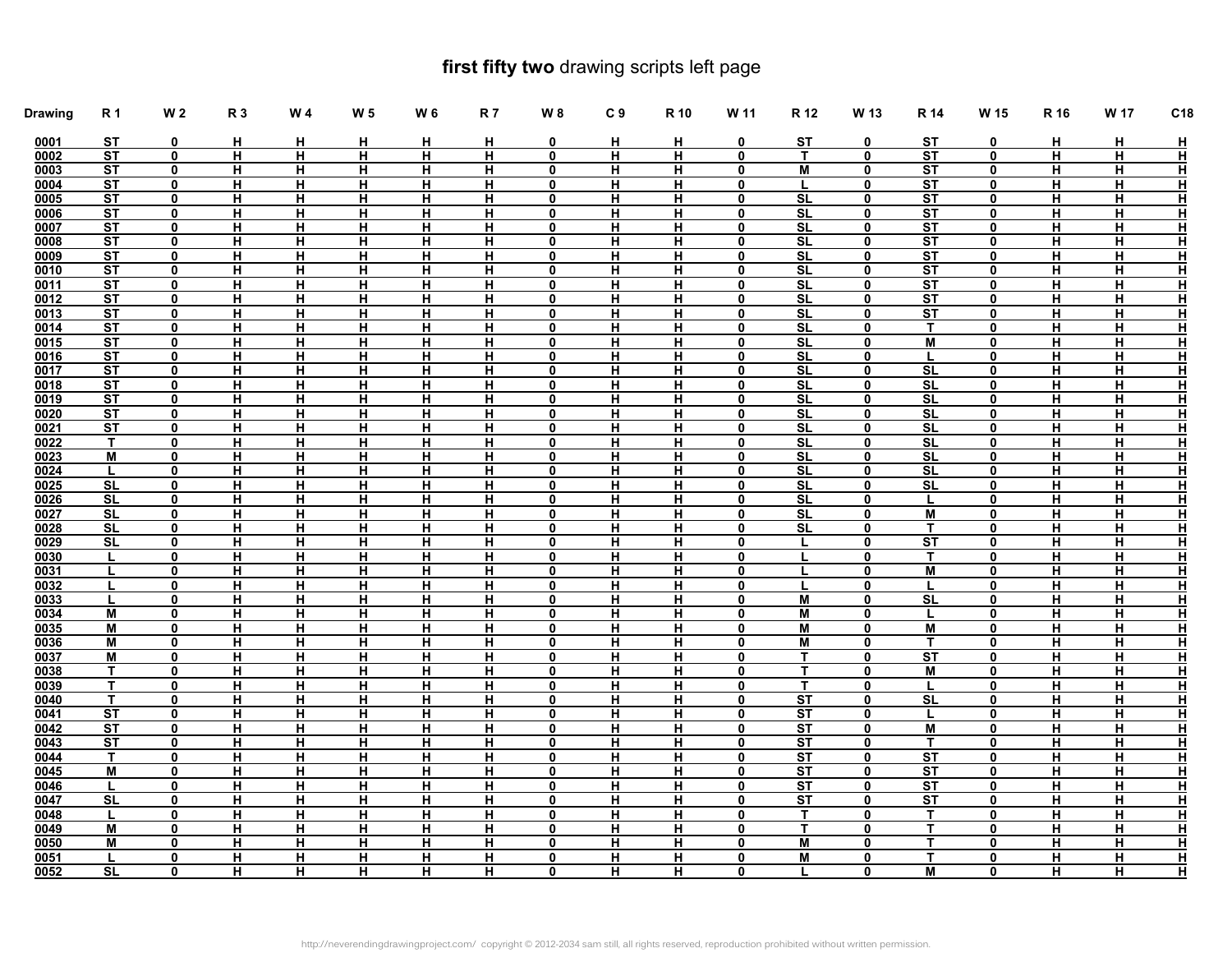## **first fifty two** drawing scripts left page

| <b>Drawing</b> | <b>R1</b>              | <b>W2</b>        | <b>R3</b>               | W 4                     | W <sub>5</sub>                            | W 6                     | <b>R7</b>               | $W_8$                      | C <sub>9</sub> | R 10                    | W 11                       | R 12                         | W 13                       | R 14                         | W 15                    | R 16                    | W 17           | C18                                      |
|----------------|------------------------|------------------|-------------------------|-------------------------|-------------------------------------------|-------------------------|-------------------------|----------------------------|----------------|-------------------------|----------------------------|------------------------------|----------------------------|------------------------------|-------------------------|-------------------------|----------------|------------------------------------------|
| 0001           | ST                     | 0                | н                       | н                       | н                                         | н                       | н                       | $\mathbf 0$                | н              | н                       | 0                          | ST                           | 0                          | ST                           | 0                       | н                       | н              | <u>н</u>                                 |
| 0002           | ST                     | 0                | $\overline{H}$          | $\overline{H}$          | Η                                         | $\overline{H}$          | $\overline{H}$          | $\mathbf 0$                | Η              | Η                       | 0                          | $\overline{\mathsf{r}}$      | $\mathbf 0$                | <b>ST</b>                    | $\overline{\mathbf{0}}$ | $\overline{\mathsf{H}}$ | π              | $\overline{\mathbf{H}}$                  |
| 0003           | ST                     | 0                | <u>н</u>                | <u>H</u>                | <u>H</u>                                  | H                       | H                       | 0                          | <u>H</u>       | <u>H</u>                | 0                          | M                            | $\pmb{0}$                  | ST                           | $\mathbf{0}$            | <u>H</u>                | <u>H</u>       | $\overline{\mathbf{H}}$                  |
| 0004           | <b>ST</b>              | 0                | н                       | н                       | н                                         | H                       | н                       | $\mathbf 0$                | н              | н                       | $\mathbf 0$                | L                            | $\mathbf 0$                | <b>ST</b>                    | $\mathbf 0$             | $\overline{H}$          | н              | $\overline{\mathbf{H}}$                  |
| 0005           | ST                     | 0                | н                       | н                       | н                                         | H                       | н                       | 0                          | н              | н                       | 0                          | SL                           | $\mathbf 0$                | ST                           | $\mathbf 0$             | н                       | н              | $\bar{\texttt{H}}$                       |
| 0006           | ST                     | 0                | н                       | н                       | н                                         | н                       | н                       | $\mathbf 0$                | н              | н                       | $\mathbf 0$                | <b>SL</b>                    | $\mathbf 0$                | ST                           | 0                       | н                       | н              | $\overline{\mathbf{H}}$                  |
| 0007           | ST                     | $\mathbf 0$      | н                       | н                       | н                                         | H                       | н                       | $\mathbf 0$                | н              | н                       | $\mathbf 0$                | <b>SL</b>                    | $\mathbf 0$                | ST                           | $\mathbf 0$             | н                       | н              | $\overline{\mathsf{H}}$                  |
| 0008           | ST                     | $\mathbf{0}$     | н                       | H                       | H                                         | H                       | H                       | $\mathbf 0$                | н              | н                       | $\mathbf 0$                | <b>SL</b>                    | $\mathbf 0$                | <b>ST</b>                    | 0                       | н                       | н              | $\bar{\mathbf{H}}$                       |
| 0009           | ST                     | $\mathbf 0$      | н                       | H                       | н                                         | H                       | н                       | 0                          | н              | H                       | 0                          | SL                           | $\mathbf 0$                | ST                           | 0                       | н                       | н              | ュュュー                                     |
| 0010           | ST                     | $\mathbf{0}$     | $\overline{H}$          | $\overline{\mathbf{H}}$ | $\overline{H}$                            | H                       | н                       | $\mathbf 0$                | н              | н                       | $\mathbf 0$                | SL                           | $\mathbf 0$                | ST                           | $\mathbf 0$             | н                       | н              |                                          |
| 0011           | ST                     | 0                | $\overline{H}$          | $\overline{H}$          | $\overline{\mathsf{H}}$                   | $\overline{H}$          | $\overline{H}$          | 0                          | н              | H                       | 0                          | SL                           | $\mathbf 0$                | $\overline{\text{ST}}$       | $\mathbf{0}$            | н                       | н              |                                          |
| 0012           | ST<br>ST               | $\mathbf 0$      | н                       | $\overline{H}$          | $\overline{H}$<br>$\overline{\mathsf{H}}$ | H<br>ਜ                  | н                       | $\mathbf 0$                | н<br>Ή         | н                       | $\mathbf 0$                | SL<br>$\overline{\text{SL}}$ | $\mathbf 0$                | ST<br>$\overline{\text{ST}}$ | $\mathbf 0$             | н<br>Ή                  | н<br>Ξ         |                                          |
| 0013           |                        | 0                | $\blacksquare$          | $\overline{H}$          |                                           |                         | $\overline{H}$          | $\mathbf 0$                |                | $\blacksquare$          | $\mathbf 0$                |                              | $\mathbf 0$                | T                            | 0                       |                         |                | $\overline{\mathbf{H}}$                  |
| 0014<br>0015   | ST<br>ST               | 0<br>0           | <u>н</u><br>н           | H<br>н                  | H<br>н                                    | H<br>н                  | <u>H</u><br>н           | $\mathbf 0$<br>$\mathbf 0$ | <u>н</u><br>н  | <u>н</u><br>н           | $\mathbf 0$<br>$\mathbf 0$ | <b>SL</b><br>SL              | $\mathbf 0$<br>$\mathbf 0$ | M                            | 0<br>$\mathbf 0$        | <u>н</u><br>н           | <u>н.</u><br>н | 뵵                                        |
| 0016           | ST                     | $\mathbf{0}$     | <u>н</u>                | H                       | <u>H</u>                                  | $\overline{H}$          | H                       | $\mathbf{0}$               | н              | н                       | $\mathbf 0$                | SL                           | $\pmb{0}$                  | L                            | $\mathbf{0}$            | н                       | н              | $\overline{\mathbf{H}}$                  |
| 0017           | <b>ST</b>              | $\mathbf 0$      | н                       | н                       | н                                         | $\overline{H}$          | н                       | 0                          | н              | н                       | $\mathbf 0$                | <b>SL</b>                    | $\mathbf 0$                | $\overline{\text{SL}}$       | $\mathbf 0$             | $\overline{H}$          | н              | $\overline{\mathbf{H}}$                  |
| 0018           | ST                     | $\mathbf 0$      | н                       | н                       | н                                         | H                       | н                       | 0                          | н              | H                       | $\mathbf 0$                | SL                           | $\mathbf 0$                | <b>SL</b>                    | 0                       | н                       | н              | $\overline{\mathsf{H}}$                  |
| 0019           | <b>ST</b>              | 0                | н                       | н                       | н                                         | н                       | н                       | $\mathbf{0}$               | н              | н                       | 0                          | <b>SL</b>                    | $\mathbf 0$                | <b>SL</b>                    | $\mathbf{0}$            | н                       | н              | $\overline{\mathbf{H}}$                  |
| 0020           | ST                     | $\mathbf 0$      | н                       | н                       | н                                         | H                       | н                       | $\mathbf 0$                | н              | н                       | $\mathbf 0$                | SL                           | $\mathbf 0$                | SL                           | $\mathbf 0$             | н                       | н              | $\overline{\mathsf{H}}$                  |
| 0021           | ST                     | $\mathbf{0}$     | $\overline{\mathsf{H}}$ | $\overline{\mathsf{H}}$ | $\overline{\mathsf{H}}$                   | $\overline{\mathsf{H}}$ | $\overline{\mathsf{H}}$ | $\mathbf 0$                | н              | $\overline{\mathsf{H}}$ | $\mathbf 0$                | $\overline{\text{SL}}$       | $\mathbf 0$                | $\overline{\mathsf{SL}}$     | 0                       | $\overline{\mathsf{H}}$ | Η              | $\overline{\mathbf{H}}$                  |
| 0022           | $\mathbf{T}$           | $\mathbf 0$      | н                       | H                       | н                                         | H                       | н                       | 0                          | н              | H                       | 0                          | SL                           | 0                          | <b>SL</b>                    | 0                       | н                       | н              |                                          |
| 0023           | M                      | $\mathbf 0$      | н                       | н                       | н                                         | H                       | H                       | $\mathbf 0$                | н              | н                       | $\mathbf 0$                | <b>SL</b>                    | $\mathbf 0$                | <b>SL</b>                    | $\mathbf 0$             | н                       | н              | 푭                                        |
| 0024           | L                      | 0                | н                       | н                       | $\overline{H}$                            | н                       | н                       | 0                          | н              | н                       | 0                          | SL                           | $\mathbf 0$                | SL                           | 0                       | <u>H</u>                | н              | $\bar{\texttt{H}}$                       |
| 0025           | SL                     | $\mathbf 0$      | н                       | н                       | $\overline{H}$                            | H                       | н                       | $\mathbf 0$                | н              | н                       | $\mathbf 0$                | SL                           | $\mathbf 0$                | SL                           | $\mathbf 0$             | н                       | н.             | $\overline{\mathbf{H}}$                  |
| 0026           | $\overline{\text{SL}}$ | 0                | $\overline{H}$          | $\overline{H}$          | $\overline{H}$                            | ਜ                       | $\overline{H}$          | 0                          | н              | $\overline{H}$          | 0                          | $\overline{\text{SL}}$       | $\mathbf 0$                | L                            | 0                       | $\overline{H}$          | Η              | $\overline{\mathbf{H}}$                  |
| 0027           | SL                     | $\mathbf 0$      | <u>H</u>                | H                       | H                                         | H                       | H                       | $\mathbf 0$                | <u>H</u>       | H                       | $\mathbf 0$                | SL                           | $\mathbf 0$                | M                            | 0                       | <u>H</u>                | <u>H</u>       | $\overline{\mathbf{H}}$                  |
| 0028           | <b>SL</b>              | 0                | н                       | $\overline{H}$          | $\overline{H}$                            | $\overline{H}$          | н                       | $\mathbf 0$                | н              | н                       | 0                          | <b>SL</b>                    | $\mathbf 0$                | т                            | $\mathbf 0$             | н                       | н              | $\overline{\mathbf{H}}$                  |
| 0029           | <b>SL</b>              | 0                | $\overline{\mathbf{H}}$ | H                       | H                                         | $\overline{\mathbf{H}}$ | H                       | $\mathbf 0$                | <u>H</u>       | <u>н</u>                | 0                          |                              | $\mathbf 0$                | $\overline{\text{ST}}$       | $\mathbf{0}$            | <u>H</u>                | <u>H</u>       | 프                                        |
| 0030           | L                      | $\mathbf 0$      | н                       | н                       | н                                         | H                       | н                       | $\mathbf 0$                | н              | н                       | $\mathbf 0$                | L                            | $\mathbf 0$                | T.                           | 0                       | н                       | н              |                                          |
| 0031           |                        | 0                | H                       | $\overline{\mathsf{H}}$ | H                                         | H                       | H                       | 0                          | н              | H                       | 0                          |                              | $\mathbf 0$                | M                            | $\mathbf 0$             | H                       | Н,             | ュロ                                       |
| 0032           | L                      | $\mathbf{0}$     | н                       | н                       | н                                         | н                       | н                       | $\mathbf{0}$               | н              | н                       | $\mathbf{0}$               |                              | $\mathbf 0$                |                              | $\mathbf{0}$            | н                       | н              |                                          |
| 0033           | L                      | $\mathbf 0$      | н                       | н                       | н                                         | H                       | н                       | $\mathbf 0$                | н              | н                       | $\mathbf 0$                | M                            | $\mathbf 0$                | SL                           | $\mathbf 0$             | н                       | н              | $\overline{\mathsf{H}}$                  |
| 0034           | $\overline{M}$         | 0                | $\overline{\mathsf{H}}$ | $\overline{\mathsf{H}}$ | $\overline{\mathsf{H}}$                   | $\overline{\mathsf{H}}$ | $\overline{\mathsf{H}}$ | $\mathbf 0$                | н              | н                       | $\mathbf 0$                | $\overline{M}$               | $\mathbf 0$                | L                            | 0                       | $\overline{\mathsf{H}}$ | Η              | $\bar{\mathbf{H}}$                       |
| 0035           | M                      | $\mathbf 0$      | н                       | H                       | н                                         | H                       | н                       | 0                          | н              | H                       | 0                          | M                            | 0                          | M                            | 0                       | н                       | н              | 푭                                        |
| 0036           | M                      | 0                | н                       | н                       | н                                         | н                       | H                       | $\mathbf 0$                | н              | н                       | 0                          | M                            | $\mathbf 0$                | т                            | $\mathbf 0$             | н                       | н              |                                          |
| 0037           | M<br>$\mathsf{T}$      | 0                | н                       | H                       | $\overline{\mathsf{H}}$                   | H                       | н                       | $\mathbf{0}$               | н              | н                       | 0                          | T                            | $\mathbf 0$                | ST                           | $\mathbf{0}$            | н                       | Н.             | $\bar{\texttt{H}}$                       |
| 0038<br>0039   | $\mathbf{T}$           | 0<br>$\mathbf 0$ | <u>н</u><br>н           | н<br>н                  | H<br>$\overline{H}$                       | H<br>$\overline{H}$     | н<br>н                  | $\mathbf 0$<br>$\mathbf 0$ | н<br>н         | н<br>н                  | 0<br>$\mathbf 0$           | T<br>T                       | $\mathbf 0$<br>$\mathbf 0$ | M                            | 0<br>$\mathbf 0$        | н<br>н                  | н<br>Н.        | $\bar{\texttt{H}}$<br>$\bar{\texttt{H}}$ |
| 0040           | $\mathbf T$            | $\mathbf{0}$     | <u>H</u>                | н                       | н                                         | H                       | н                       | 0                          | н              | н                       | 0                          | ST                           | 0                          | SL                           | 0                       | н                       | <u>H</u>       |                                          |
| 0041           | ST                     | 0                | н                       | н                       | н                                         | H                       | н                       | $\mathbf 0$                | н              | н                       | $\mathbf 0$                | ST                           | $\mathbf 0$                | L                            | $\mathbf 0$             | н                       | н              | 玉玉                                       |
| 0042           | ST                     | 0                | <u>н</u>                | H                       | <u>H</u>                                  | $\overline{\mathsf{H}}$ | H                       | $\mathbf{0}$               | н              | н                       | $\mathbf 0$                | ST                           | $\mathbf 0$                | M                            | $\mathbf{0}$            | н                       | н              |                                          |
| 0043           | <b>ST</b>              | $\mathbf 0$      | н                       | н                       | н                                         | $\overline{H}$          | н                       | $\mathbf 0$                | н              | н                       | $\mathbf 0$                | <b>ST</b>                    | $\mathbf 0$                | т                            | 0                       | $\overline{H}$          | н              | $\overline{\mathbf{H}}$                  |
| 0044           | $\mathsf{T}$           | 0                | $\overline{\mathbf{H}}$ | $\overline{\mathsf{H}}$ | H                                         | H                       | H                       | $\mathbf 0$                | H              | H                       | $\mathbf 0$                | ST                           | $\pmb{0}$                  | ST                           | $\mathbf 0$             | H                       | Н.             |                                          |
| 0045           | M                      | 0                | н                       | н                       | н                                         | н                       | н                       | $\mathbf{0}$               | н              | н                       | 0                          | <b>ST</b>                    | $\mathbf 0$                | <b>ST</b>                    | $\mathbf{0}$            | н                       | н              | 표                                        |
| 0046           |                        | $\mathbf 0$      | H                       | H                       | $\overline{\mathbf{H}}$                   | H                       | H                       | $\mathbf 0$                | H              | H                       | $\mathbf 0$                | ST                           | $\mathbf 0$                | ST                           | $\mathbf 0$             | H                       | Н,             |                                          |
| 0047           | SL                     | $\mathbf{0}$     | н                       | H                       | H                                         | $\overline{H}$          | H                       | $\mathbf 0$                | н              | H                       | $\mathbf 0$                | $\overline{\text{ST}}$       | $\mathbf 0$                | ST                           | 0                       | н                       | $\overline{H}$ | 프                                        |
| 0048           | L                      | $\mathbf 0$      | н                       | H                       | н                                         | H                       | н                       | 0                          | н              | H                       | 0                          | $\mathbf{T}$                 | 0                          | T.                           | 0                       | н                       | н              |                                          |
| 0049           | M                      | 0                | н                       | н                       | н                                         | H                       | H                       | $\mathbf 0$                | н              | н                       | $\mathbf 0$                | $\mathbf{T}$                 | $\mathbf 0$                | T                            | $\mathbf 0$             | н                       | н              | 푭                                        |
| 0050           | м                      | 0                | н                       | H                       | н                                         | H                       | H                       | 0                          | н              | н                       | 0                          | М                            | $\mathbf 0$                | T                            | $\mathbf{0}$            | н                       | H.             | $\bar{\texttt{H}}$                       |
| 0051           | L                      | 0                | н                       | н                       | <u>H</u>                                  | н                       | н                       | $\mathbf 0$                | н              | н                       | 0                          | M                            | 0                          | T                            | $\mathbf 0$             | н                       | н              |                                          |
| 0052           | SL                     | 0                | н                       | н                       | н                                         | н                       | н                       | $\mathbf 0$                | н              | н                       | 0                          |                              | $\mathbf 0$                | M                            | $\mathbf{0}$            | н                       | Н.             | 푭                                        |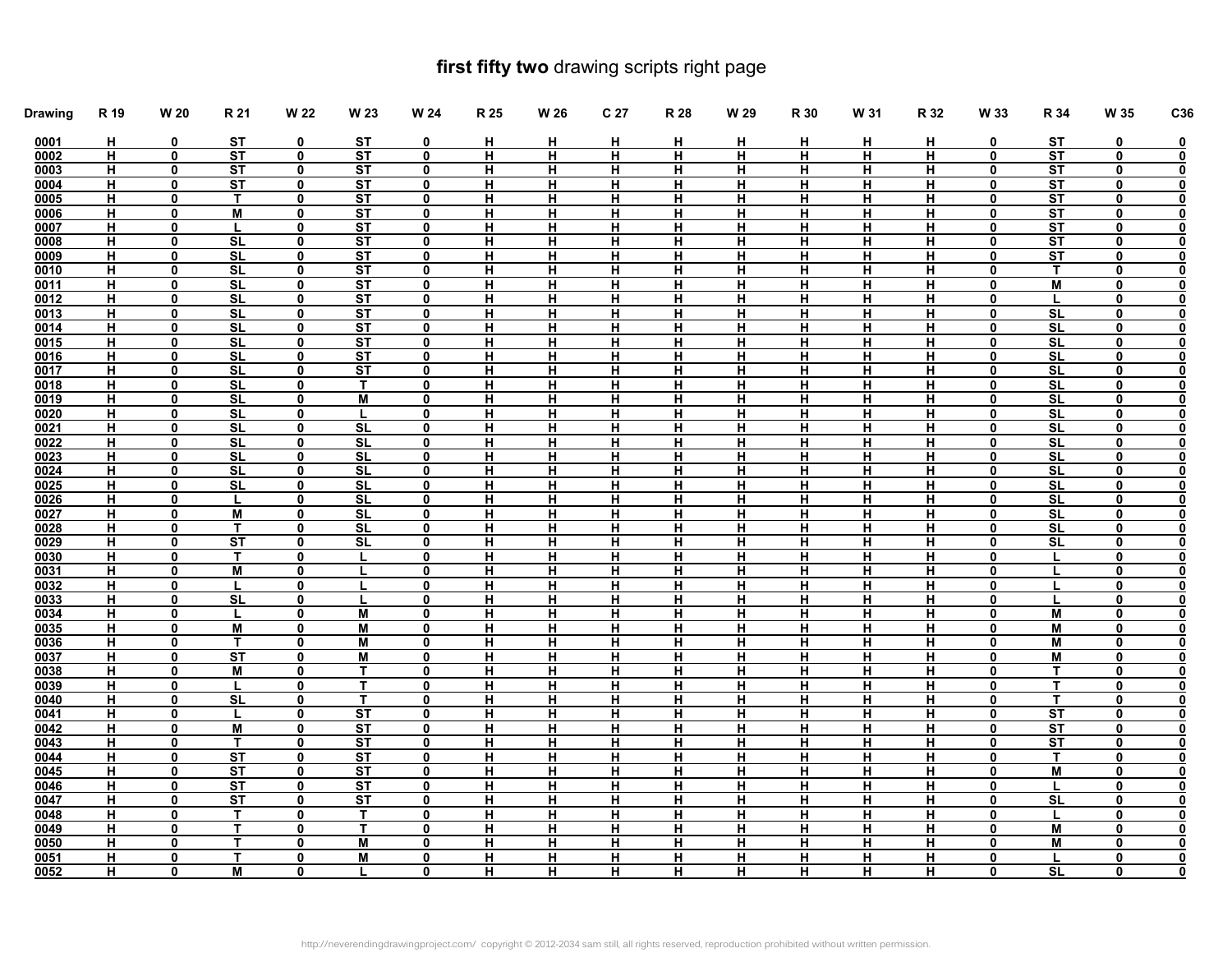## **first fifty two** drawing scripts right page

| <b>Drawing</b> | R 19           | W 20         | R 21                   | W 22             | W 23                     | W 24             | R 25                    | W 26           | C <sub>27</sub> | R 28           | W 29           | R 30                    | W 31                    | R 32                    | W 33                        | R 34                   | W 35                    | C36                                                |
|----------------|----------------|--------------|------------------------|------------------|--------------------------|------------------|-------------------------|----------------|-----------------|----------------|----------------|-------------------------|-------------------------|-------------------------|-----------------------------|------------------------|-------------------------|----------------------------------------------------|
| 0001           | н              | 0            | ST                     | 0                | <b>ST</b>                | 0                | н                       | н              | н               | н              | н              | н                       | н                       | н                       | 0                           | ST                     | 0                       | <u>0</u>                                           |
| 0002           | н              | 0            | $\overline{\text{ST}}$ | $\mathbf{0}$     | $\overline{\mathsf{ST}}$ | 0                | н                       | н              | н               | н              | н              | $\overline{\mathsf{H}}$ | Ή                       | Ξ                       | $\mathbf{0}$                | $\overline{\text{ST}}$ | $\overline{\mathbf{0}}$ | $\overline{\mathbf{0}}$                            |
| 0003           | н              | 0            | ST                     | 0                | ST                       | 0                | H                       | н              | н               | н              | н              | H                       | <u>H</u>                | <u>H</u>                | 0                           | ST                     | 0                       | $\overline{\mathbf{0}}$                            |
| 0004           | H              | $\mathbf 0$  | <b>ST</b>              | $\mathbf 0$      | <b>ST</b>                | $\mathbf 0$      | H                       | н              | н               | н              | H              | H                       | н                       | н                       | $\mathbf 0$                 | <b>ST</b>              | $\mathbf 0$             | $\overline{\mathbf{0}}$                            |
| 0005           | н              | 0            | Τ                      | 0                | ST                       | 0                | н                       | н              | н               | н              | н              | H                       | н                       | н                       | 0                           | ST                     | 0                       | $\overline{\mathbf{0}}$                            |
| 0006           | н              | 0            | M                      | $\mathbf 0$      | <b>ST</b>                | 0                | H                       | н              | н               | н              | H.             | н                       | н                       | н                       | $\mathbf 0$                 | <b>ST</b>              | 0                       | <u>0</u>                                           |
| 0007           | H.             | 0            | L                      | $\mathbf 0$      | ST                       | 0                | H                       | <u>н</u>       | н               | <u>н</u>       | H              | H                       | H                       | н                       | $\mathbf{0}$                | ST                     | 0                       | $\overline{\textbf{0}}$                            |
| 0008           | н              | 0            | SL                     | $\mathbf 0$      | ST                       | 0                | н                       | н              | н               | н              | н              | н                       | н                       | н                       | 0                           | ST                     | 0                       | $\overline{\mathbf{0}}$                            |
| 0009           | H              | $\mathbf 0$  | SL                     | $\mathbf 0$      | ST                       | $\mathbf 0$      | н                       | $\overline{H}$ | н               | $\overline{H}$ | н              | н                       | н                       | $\overline{H}$          | $\mathbf 0$                 | ST                     | $\mathbf 0$             | $\overline{\mathbf{0}}$                            |
| 0010           | <u>H</u>       | 0            | SL                     | $\mathbf 0$      | ST                       | 0                | H                       | <u>н</u>       | <u>н</u>        | <u>н</u>       | <u>н</u>       | H                       | H                       | <u>H</u>                | $\mathbf 0$                 | T.                     | 0                       | $\overline{\mathbf{0}}$                            |
| 0011           | н              | 0            | <b>SL</b>              | $\mathbf 0$      | ST                       | $\mathbf 0$      | н                       | н              | н               | н              | н              | н                       | $\blacksquare$          | $\overline{H}$          | 0                           | M                      | 0                       | 0                                                  |
| 0012           | н              | 0            | SL                     | 0                | ST                       | 0                | H                       | н              | H               | н              | <u>н</u>       | H                       | H                       | <u>H</u>                | $\mathbf{0}$                | L                      | 0                       | $\overline{\mathbf{0}}$                            |
| 0013           | н              | 0            | <b>SL</b>              | 0                | <b>ST</b>                | $\mathbf 0$      | н                       | н              | н               | н              | н              | н                       | н                       | н                       | 0                           | $\overline{\text{SL}}$ | 0                       | $\overline{\mathbf{0}}$                            |
| 0014           | H              | 0            | <b>SL</b>              | 0                | ST                       | 0                | н                       | н              | н               | н              | н              | н                       | н                       | н                       | 0                           | SL                     | 0                       | $\overline{\mathbf{0}}$                            |
| 0015           | н              | 0            | <b>SL</b>              | 0                | <b>ST</b>                | 0                | н                       | н              | н               | н              | н              | н                       | н                       | н                       | 0                           | <b>SL</b>              | 0                       | $\overline{\mathbf{0}}$                            |
| 0016           | н<br>н         | 0<br>0       | SL<br><b>SL</b>        | $\mathbf 0$      | ST                       | $\mathbf 0$      | н<br>н                  | н<br>н         | н               | Н              | н              | н<br>н                  | н<br>н                  | н<br>н                  | $\mathbf 0$<br>$\mathbf{0}$ | SL<br><b>SL</b>        | 0<br>$\mathbf{0}$       | $\pmb{0}$                                          |
| 0017<br>0018   | н              | 0            | SL                     | 0                | <b>ST</b><br>$\mathbf T$ | 0<br>$\mathbf 0$ | н                       | н              | н<br>н          | н<br>н         | н<br>н         | н                       | н                       | н                       | 0                           | SL                     |                         | $\overline{\mathbf{0}}$                            |
| 0019           | н              | 0            | <b>SL</b>              | 0<br>$\mathbf 0$ | M                        | 0                | н                       | н              | н               | н              | н              | н                       | н                       | н                       | $\mathbf{0}$                | <b>SL</b>              | 0<br>$\mathbf{0}$       | $\overline{\mathbf{0}}$                            |
| 0020           | н              | 0            | SL                     | 0                | L                        | 0                | н                       | н              | н               | н              | н              | н                       | н                       | н                       | 0                           | SL                     | 0                       | $\overline{\mathbf{0}}$<br>$\overline{\mathbf{0}}$ |
| 0021           | H.             | $\mathbf 0$  | $\overline{\text{SL}}$ | $\mathbf 0$      | $\overline{\text{SL}}$   | 0                | $\overline{\mathsf{H}}$ | Ή              | н               | н              | H              | $\overline{\mathsf{H}}$ | H                       | н                       | $\mathbf 0$                 | $\overline{\text{SL}}$ | $\mathbf 0$             | $\overline{\mathbf{0}}$                            |
| 0022           | H              | 0            | SL                     | 0                | <b>SL</b>                | 0                | н                       | н              | н               | H              | H              | H                       | H                       | н                       | 0                           | SL                     | 0                       | $\overline{\mathbf{0}}$                            |
| 0023           | н              | 0            | SL                     | $\mathbf 0$      | <b>SL</b>                | 0                | H                       | н              | н               | н              | н              | H                       | н                       | н                       | $\mathbf 0$                 | <b>SL</b>              | 0                       | $\overline{\mathbf{0}}$                            |
| 0024           | H.             | 0            | <b>SL</b>              | $\mathbf 0$      | <b>SL</b>                | $\mathbf{0}$     | $\overline{H}$          | н              | н               | н              | н              | $\overline{H}$          | $\overline{\mathbf{H}}$ | $\overline{\mathbf{H}}$ | $\mathbf{0}$                | SL                     | 0                       | $\overline{\mathbf{0}}$                            |
| 0025           | н              | $\mathbf 0$  | SL                     | $\mathbf 0$      | SL                       | $\mathbf 0$      | н                       | н              | н               | н              | н              | н                       | н                       | н                       | $\mathbf 0$                 | SL                     | $\mathbf 0$             | $\overline{\mathbf{0}}$                            |
| 0026           | $\blacksquare$ | 0            | L                      | $\mathbf 0$      | $\overline{\text{SL}}$   | 0                | $\overline{H}$          | $\overline{H}$ | н               | $\blacksquare$ | $\blacksquare$ | $\blacksquare$          | $\overline{H}$          | $\overline{H}$          | $\mathbf 0$                 | $\overline{\text{SL}}$ | 0                       | $\overline{\mathbf{0}}$                            |
| 0027           | н              | 0            | M                      | $\bf{0}$         | SL                       | $\mathbf 0$      | H                       | <u>н</u>       | <u>н</u>        | <u>H</u>       | <u>н</u>       | H                       | H                       | <u>H</u>                | $\mathbf 0$                 | SL                     | 0                       | $\overline{\mathbf{0}}$                            |
| 0028           | н.             | 0            | Т                      | $\mathbf 0$      | <b>SL</b>                | 0                | н                       | н              | н               | н              | н              | н                       | н                       | н                       | $\mathbf 0$                 | <b>SL</b>              | 0                       | $\overline{\mathbf{0}}$                            |
| 0029           | <u>н</u>       | 0            | ST                     | $\bf{0}$         | <u>SL</u>                | 0                | $\overline{\mathbf{H}}$ | <u>н</u>       | <u>H</u>        | <u>H</u>       | <u>н</u>       | $\overline{\mathbf{H}}$ | H                       | <u>H</u>                | $\mathbf{0}$                | <b>SL</b>              | 0                       | $\overline{\mathbf{0}}$                            |
| 0030           | H              | $\mathbf 0$  | T.                     | $\mathbf 0$      | L                        | $\mathbf 0$      | н                       | н              | н               | $\overline{H}$ | н              | н                       | н                       | н                       | $\mathbf 0$                 |                        | $\mathbf 0$             | $\overline{\mathbf{0}}$                            |
| 0031           | <u>H</u>       | $\mathbf{0}$ | M                      | $\mathbf 0$      |                          | $\mathbf 0$      | <u>н</u>                | <u>н</u>       | <u>н</u>        | <u>н</u>       | <u>н</u>       | <u>H</u>                | <u>H</u>                | <u>H</u>                | $\mathbf 0$                 |                        | 0                       | $\overline{\mathbf{0}}$                            |
| 0032           | н              | 0            |                        | $\mathbf 0$      |                          | $\mathbf 0$      | н                       | н              | н               | н              | н              | н                       | н                       | н                       | $\mathbf 0$                 |                        | 0                       | 0                                                  |
| 0033           | н              | $\mathbf 0$  | SL                     | $\mathbf 0$      |                          | 0                | н                       | н              | н               | н              | н              | н                       | н                       | н                       | $\mathbf{0}$                |                        | $\mathbf 0$             | $\overline{\mathbf{0}}$                            |
| 0034           | н              | 0            | L                      | 0                | M                        | 0                | н                       | н              | н               | н              | н              | н                       | н                       | н                       | $\mathbf 0$                 | M                      | 0                       | $\overline{\mathbf{0}}$                            |
| 0035           | H              | 0            | M                      | 0                | M                        | 0                | н                       | н              | н               | н              | н              | н                       | н                       | н                       | 0                           | M                      | 0                       | $\overline{\mathbf{0}}$                            |
| 0036           | н              | $\mathbf{0}$ | т                      | $\mathbf 0$      | M                        | 0                | н                       | н              | н               | н              | н              | н                       | н                       | н                       | $\mathbf{0}$                | М                      | $\mathbf{0}$            | $\overline{\mathbf{0}}$                            |
| 0037           | н              | 0            | ST                     | $\mathbf 0$      | M                        | $\mathbf 0$      | н                       | н              | н               | н              | н              | н                       | н                       | н                       | 0                           | M                      | 0                       | $\overline{\mathbf{0}}$                            |
| 0038           | $\overline{H}$ | $\mathbf 0$  | M                      | $\mathbf 0$      | $\mathbf{T}$             | 0                | H                       | н              | н               | H              | H              | $\overline{H}$          | H                       | $\overline{H}$          | $\mathbf 0$                 | T.                     | 0                       | $\overline{\mathbf{0}}$                            |
| 0039           | H              | 0            | L                      | 0                | $\mathbf T$              | 0                | н                       | н              | н               | н              | н              | н                       | H                       | н                       | 0                           | $\mathbf{T}$           | 0                       | $\overline{\mathbf{0}}$                            |
| 0040           | н              | 0            | <b>SL</b>              | $\mathbf 0$      | $\mathbf{T}$             | $\mathbf 0$      | H                       | н              | н               | н              | н              | н                       | н                       | н                       | 0                           | T.                     | 0                       | <u>0</u>                                           |
| 0041           | н              | 0            | L                      | $\mathbf 0$      | ST                       | 0                | H                       | <u>н</u>       | н               | н              | н              | H                       | H                       | н                       | $\mathbf{0}$                | ST                     | 0                       | $\overline{\mathbf{0}}$                            |
| 0042           | н              | $\mathbf 0$  | M                      | $\mathbf 0$      | ST                       | 0                | н                       | н              | н               | н              | н              | н                       | н                       | н                       | $\mathbf{0}$                | ST                     | 0                       | $\overline{\mathbf{0}}$                            |
| 0043           | $\blacksquare$ | 0            | т                      | $\mathbf 0$      | ST                       | $\mathbf 0$      | $\overline{H}$          | $\overline{H}$ | н               | $\blacksquare$ | $\blacksquare$ | $\blacksquare$          | $\blacksquare$          | $\blacksquare$          | 0                           | <b>ST</b>              | $\mathbf 0$             | $\overline{\mathbf{0}}$                            |
| 0044           | <u>H</u>       | 0            | $\overline{\text{ST}}$ | $\mathbf 0$      | $\overline{\text{ST}}$   | $\mathbf 0$      | <u>н</u>                | <u>н</u>       | <u>H</u>        | <u>H</u>       | <u>н</u>       | <u>H</u>                | H                       | <u>H</u>                | 0                           | т                      | 0                       | $\overline{\mathbf{0}}$                            |
| 0045           | н.             | 0            | $\overline{\text{ST}}$ | $\mathbf 0$      | $\overline{\text{ST}}$   | 0                | н                       | н              | н               | н              | н              | н                       | $\overline{\mathsf{H}}$ | н                       | $\mathbf 0$                 | M                      | $\mathbf 0$             | 0                                                  |
| 0046           | н              | 0            | ST                     | $\mathbf 0$      | $\overline{\text{ST}}$   | 0                | H                       | н              | <u>н</u>        | <u>н</u>       | <u>н</u>       | <u>H</u>                | <u>H</u>                | <u>H</u>                | $\mathbf 0$                 |                        | 0                       | $\overline{\mathbf{0}}$                            |
| 0047           | н              | 0            | ST                     | $\mathbf 0$      | $\overline{\text{ST}}$   | 0                | н                       | н              | н               | н              | н              | н                       | н                       | н                       | $\mathbf 0$                 | SL                     | 0                       | $\overline{\mathbf{0}}$                            |
| 0048           | н              | $\mathbf{0}$ | T                      | $\mathbf 0$      | T                        | 0                | H                       | <u>н</u>       | <u>н</u>        | H              | H              | H                       | H                       | <u>H</u>                | $\mathbf{0}$                | L                      | 0                       | $\overline{\mathbf{0}}$                            |
| 0049           | н.             | 0            | Т                      | 0                | Т                        | 0                | н                       | н              | н               | н              | н              | н                       | н                       | н                       | 0                           | M                      | 0                       | $\overline{\mathbf{0}}$                            |
| 0050           | н              | 0            | $\mathbf{r}$           | $\mathbf 0$      | M                        | $\mathbf{0}$     | н                       | н              | Н               | Н              | н              | н                       | н                       | н                       | $\mathbf{0}$                | M                      | 0                       | $\overline{\mathbf{0}}$                            |
| 0051           | н              | 0            | T                      | $\mathbf 0$      | M                        | $\mathbf 0$      | н                       | н              | н               | н              | н              | н                       | н                       | н                       | 0                           |                        | 0                       | $\frac{\overline{0}}{\overline{0}}$                |
| 0052           | н              | 0            | M                      | $\mathbf 0$      |                          | $\mathbf 0$      | н                       | н              | н               | н              | н              | н                       | н                       | н                       | 0                           | <b>SL</b>              | 0                       |                                                    |